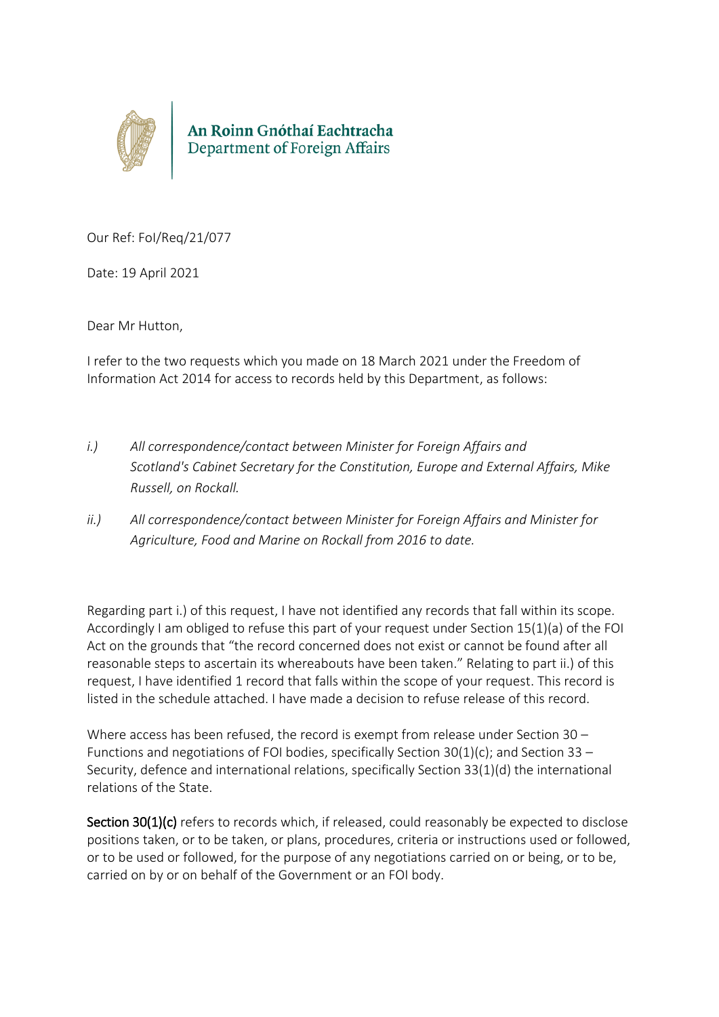

Our Ref: FoI/Req/21/077

Date: 19 April 2021

Dear Mr Hutton,

I refer to the two requests which you made on 18 March 2021 under the Freedom of Information Act 2014 for access to records held by this Department, as follows:

- *i.) All correspondence/contact between Minister for Foreign Affairs and Scotland's Cabinet Secretary for the Constitution, Europe and External Affairs, Mike Russell, on Rockall.*
- *ii.) All correspondence/contact between Minister for Foreign Affairs and Minister for Agriculture, Food and Marine on Rockall from 2016 to date.*

Regarding part i.) of this request, I have not identified any records that fall within its scope. Accordingly I am obliged to refuse this part of your request under Section 15(1)(a) of the FOI Act on the grounds that "the record concerned does not exist or cannot be found after all reasonable steps to ascertain its whereabouts have been taken." Relating to part ii.) of this request, I have identified 1 record that falls within the scope of your request. This record is listed in the schedule attached. I have made a decision to refuse release of this record.

Where access has been refused, the record is exempt from release under Section 30 – Functions and negotiations of FOI bodies, specifically Section  $30(1)(c)$ ; and Section 33 – Security, defence and international relations, specifically Section 33(1)(d) the international relations of the State.

Section 30(1)(c) refers to records which, if released, could reasonably be expected to disclose positions taken, or to be taken, or plans, procedures, criteria or instructions used or followed, or to be used or followed, for the purpose of any negotiations carried on or being, or to be, carried on by or on behalf of the Government or an FOI body.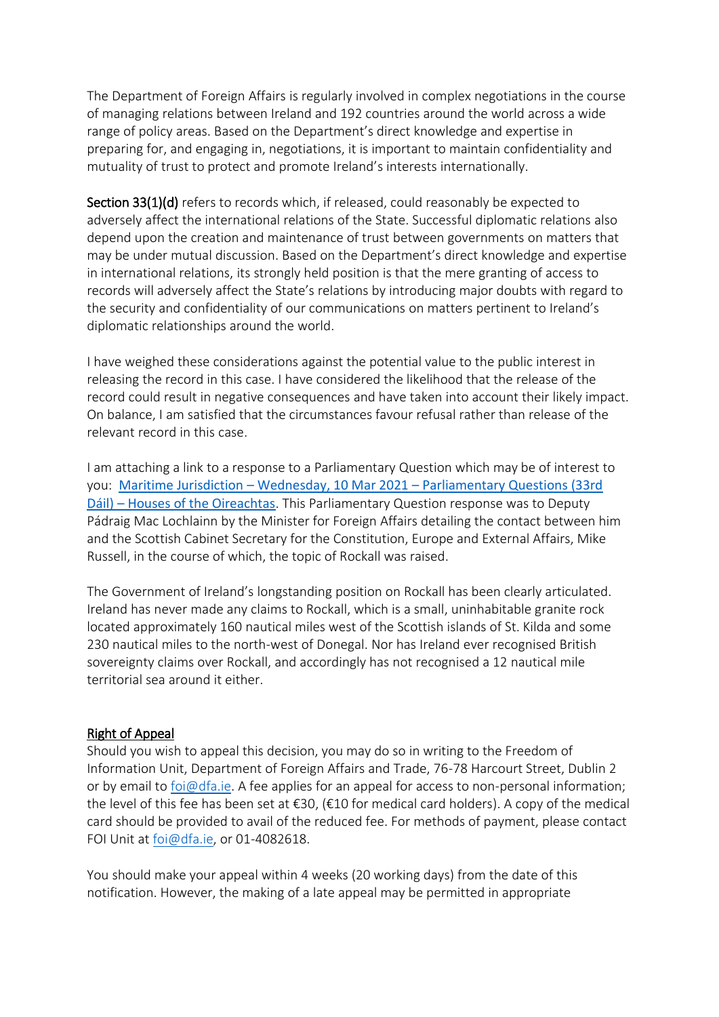The Department of Foreign Affairs is regularly involved in complex negotiations in the course of managing relations between Ireland and 192 countries around the world across a wide range of policy areas. Based on the Department's direct knowledge and expertise in preparing for, and engaging in, negotiations, it is important to maintain confidentiality and mutuality of trust to protect and promote Ireland's interests internationally.

Section 33(1)(d) refers to records which, if released, could reasonably be expected to adversely affect the international relations of the State. Successful diplomatic relations also depend upon the creation and maintenance of trust between governments on matters that may be under mutual discussion. Based on the Department's direct knowledge and expertise in international relations, its strongly held position is that the mere granting of access to records will adversely affect the State's relations by introducing major doubts with regard to the security and confidentiality of our communications on matters pertinent to Ireland's diplomatic relationships around the world.

I have weighed these considerations against the potential value to the public interest in releasing the record in this case. I have considered the likelihood that the release of the record could result in negative consequences and have taken into account their likely impact. On balance, I am satisfied that the circumstances favour refusal rather than release of the relevant record in this case.

I am attaching a link to a response to a Parliamentary Question which may be of interest to you: Maritime Jurisdiction – Wednesday, 10 Mar 2021 – [Parliamentary Questions \(33rd](https://www.oireachtas.ie/en/debates/question/2021-03-10/444/?highlight%5B0%5D=rockall)  Dáil) – [Houses of the Oireachtas](https://www.oireachtas.ie/en/debates/question/2021-03-10/444/?highlight%5B0%5D=rockall). This Parliamentary Question response was to Deputy Pádraig Mac Lochlainn by the Minister for Foreign Affairs detailing the contact between him and the Scottish Cabinet Secretary for the Constitution, Europe and External Affairs, Mike Russell, in the course of which, the topic of Rockall was raised.

The Government of Ireland's longstanding position on Rockall has been clearly articulated. Ireland has never made any claims to Rockall, which is a small, uninhabitable granite rock located approximately 160 nautical miles west of the Scottish islands of St. Kilda and some 230 nautical miles to the north-west of Donegal. Nor has Ireland ever recognised British sovereignty claims over Rockall, and accordingly has not recognised a 12 nautical mile territorial sea around it either.

## Right of Appeal

Should you wish to appeal this decision, you may do so in writing to the Freedom of Information Unit, Department of Foreign Affairs and Trade, 76-78 Harcourt Street, Dublin 2 or by email to **foi@dfa.ie**. A fee applies for an appeal for access to non-personal information; the level of this fee has been set at €30, (€10 for medical card holders). A copy of the medical card should be provided to avail of the reduced fee. For methods of payment, please contact FOI Unit at [foi@dfa.ie,](mailto:foi@dfa.ie) or 01-4082618.

You should make your appeal within 4 weeks (20 working days) from the date of this notification. However, the making of a late appeal may be permitted in appropriate